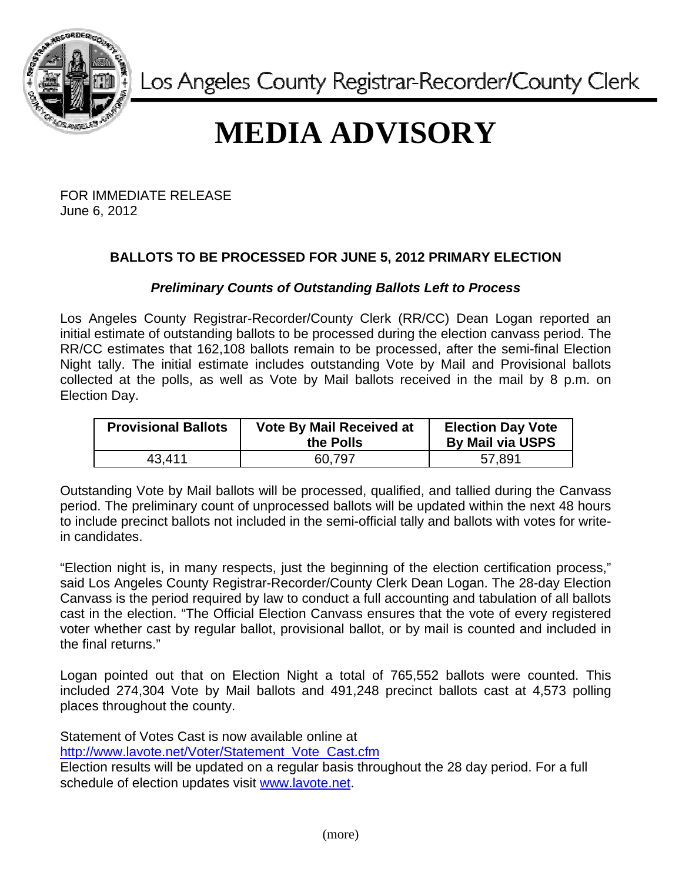

Los Angeles County Registrar-Recorder/County Clerk

## **MEDIA ADVISORY**

FOR IMMEDIATE RELEASE June 6, 2012

## **BALLOTS TO BE PROCESSED FOR JUNE 5, 2012 PRIMARY ELECTION**

## *Preliminary Counts of Outstanding Ballots Left to Process*

Los Angeles County Registrar-Recorder/County Clerk (RR/CC) Dean Logan reported an initial estimate of outstanding ballots to be processed during the election canvass period. The RR/CC estimates that 162,108 ballots remain to be processed, after the semi-final Election Night tally. The initial estimate includes outstanding Vote by Mail and Provisional ballots collected at the polls, as well as Vote by Mail ballots received in the mail by 8 p.m. on Election Day.

| <b>Provisional Ballots</b> | <b>Vote By Mail Received at</b><br>the Polls | <b>Election Day Vote</b><br><b>By Mail via USPS</b> |
|----------------------------|----------------------------------------------|-----------------------------------------------------|
| 43.411                     | 60.797                                       | 57,891                                              |

Outstanding Vote by Mail ballots will be processed, qualified, and tallied during the Canvass period. The preliminary count of unprocessed ballots will be updated within the next 48 hours to include precinct ballots not included in the semi-official tally and ballots with votes for writein candidates.

"Election night is, in many respects, just the beginning of the election certification process," said Los Angeles County Registrar-Recorder/County Clerk Dean Logan. The 28-day Election Canvass is the period required by law to conduct a full accounting and tabulation of all ballots cast in the election. "The Official Election Canvass ensures that the vote of every registered voter whether cast by regular ballot, provisional ballot, or by mail is counted and included in the final returns."

Logan pointed out that on Election Night a total of 765,552 ballots were counted. This included 274,304 Vote by Mail ballots and 491,248 precinct ballots cast at 4,573 polling places throughout the county.

Statement of Votes Cast is now available online at [http://www.lavote.net/Voter/Statement\\_Vote\\_Cast.cfm](http://www.lavote.net/Voter/Statement_Vote_Cast.cfm) Election results will be updated on a regular basis throughout the 28 day period. For a full schedule of election updates visit [www.lavote.net.](www.lavote.net)